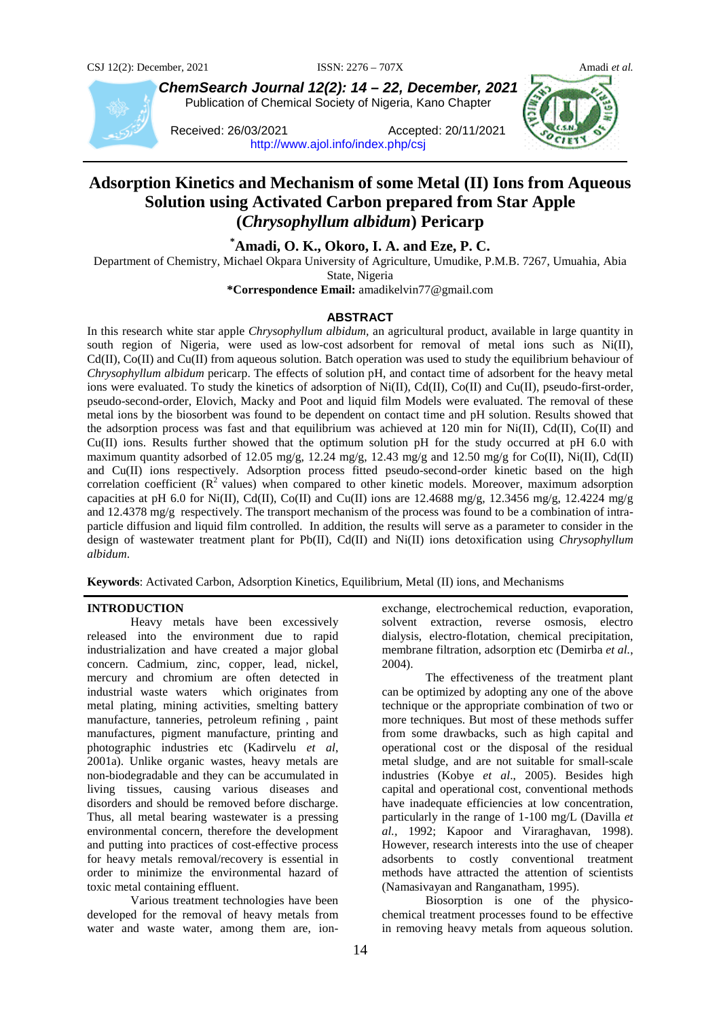

*ChemSearch Journal 12(2): 14 – 22, December, 2021* Publication of Chemical Society of Nigeria, Kano Chapter

Received: 26/03/2021 Accepted: 20/11/2021 <http://www.ajol.info/index.php/csj>



# **Adsorption Kinetics and Mechanism of some Metal (II) Ions from Aqueous Solution using Activated Carbon prepared from Star Apple (***Chrysophyllum albidum***) Pericarp**

# **\* Amadi, O. K., Okoro, I. A. and Eze, P. C.**

Department of Chemistry, Michael Okpara University of Agriculture, Umudike, P.M.B. 7267, Umuahia, Abia State, Nigeria

**\*Correspondence Email:** amadikelvin77@gmail.com

#### **ABSTRACT**

In this research white star apple *Chrysophyllum albidum,* an agricultural product, available in large quantity in south region of Nigeria, were used as low-cost adsorbent for removal of metal ions such as Ni(II),  $Cd(II)$ ,  $Co(II)$  and  $Cu(II)$  from aqueous solution. Batch operation was used to study the equilibrium behaviour of *Chrysophyllum albidum* pericarp. The effects of solution pH, and contact time of adsorbent for the heavy metal ions were evaluated. To study the kinetics of adsorption of Ni(II), Cd(II), Co(II) and Cu(II), pseudo-first-order, pseudo-second-order, Elovich, Macky and Poot and liquid film Models were evaluated. The removal of these metal ions by the biosorbent was found to be dependent on contact time and pH solution. Results showed that the adsorption process was fast and that equilibrium was achieved at 120 min for Ni(II), Cd(II), Co(II) and Cu(II) ions. Results further showed that the optimum solution pH for the study occurred at pH 6.0 with maximum quantity adsorbed of 12.05 mg/g, 12.24 mg/g, 12.43 mg/g and 12.50 mg/g for Co(II), Ni(II), Cd(II) and Cu(II) ions respectively. Adsorption process fitted pseudo-second-order kinetic based on the high correlation coefficient  $(R^2$  values) when compared to other kinetic models. Moreover, maximum adsorption capacities at pH 6.0 for Ni(II), Cd(II), Co(II) and Cu(II) ions are 12.4688 mg/g, 12.3456 mg/g, 12.4224 mg/g and 12.4378 mg/g respectively. The transport mechanism of the process was found to be a combination of intraparticle diffusion and liquid film controlled. In addition, the results will serve as a parameter to consider in the design of wastewater treatment plant for Pb(II), Cd(II) and Ni(II) ions detoxification using *Chrysophyllum albidum*.

**Keywords**: Activated Carbon, Adsorption Kinetics, Equilibrium, Metal (II) ions, and Mechanisms

## **INTRODUCTION**

Heavy metals have been excessively released into the environment due to rapid industrialization and have created a major global concern. Cadmium, zinc, copper, lead, nickel, mercury and chromium are often detected in industrial waste waters which originates from metal plating, mining activities, smelting battery manufacture, tanneries, petroleum refining , paint manufactures, pigment manufacture, printing and photographic industries etc (Kadirvelu *et al*, 2001a). Unlike organic wastes, heavy metals are non-biodegradable and they can be accumulated in living tissues, causing various diseases and disorders and should be removed before discharge. Thus, all metal bearing wastewater is a pressing environmental concern, therefore the development and putting into practices of cost-effective process for heavy metals removal/recovery is essential in order to minimize the environmental hazard of toxic metal containing effluent.

Various treatment technologies have been developed for the removal of heavy metals from water and waste water, among them are, ionexchange, electrochemical reduction, evaporation, solvent extraction, reverse osmosis, electro dialysis, electro-flotation, chemical precipitation, membrane filtration, adsorption etc (Demirba *et al.*, 2004).

The effectiveness of the treatment plant can be optimized by adopting any one of the above technique or the appropriate combination of two or more techniques. But most of these methods suffer from some drawbacks, such as high capital and operational cost or the disposal of the residual metal sludge, and are not suitable for small-scale industries (Kobye *et al*., 2005). Besides high capital and operational cost, conventional methods have inadequate efficiencies at low concentration, particularly in the range of 1-100 mg/L (Davilla *et al.,* 1992; Kapoor and Viraraghavan, 1998). However, research interests into the use of cheaper adsorbents to costly conventional treatment methods have attracted the attention of scientists (Namasivayan and Ranganatham, 1995).

Biosorption is one of the physicochemical treatment processes found to be effective in removing heavy metals from aqueous solution.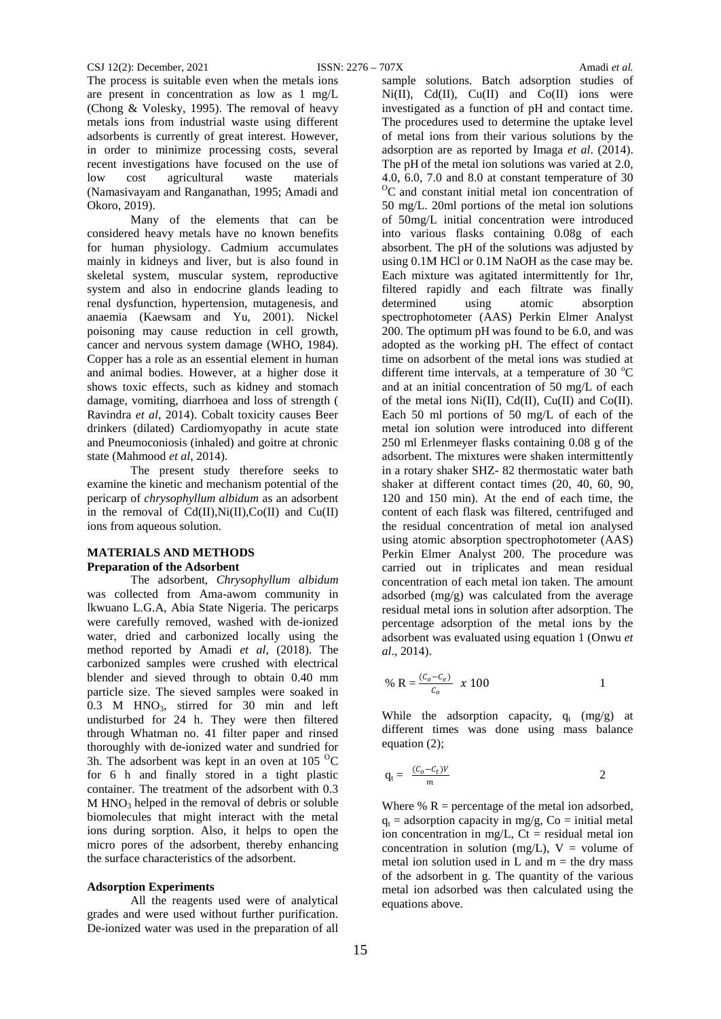The process is suitable even when the metals ions are present in concentration as low as 1 mg/L (Chong & Volesky, 1995). The removal of heavy metals ions from industrial waste using different adsorbents is currently of great interest. However, in order to minimize processing costs, several recent investigations have focused on the use of<br>low cost agricultural waste materials agricultural (Namasivayam and Ranganathan, 1995; Amadi and Okoro, 2019).

Many of the elements that can be considered heavy metals have no known benefits for human physiology. Cadmium accumulates mainly in kidneys and liver, but is also found in skeletal system, muscular system, reproductive system and also in endocrine glands leading to renal dysfunction, hypertension, mutagenesis, and anaemia (Kaewsam and Yu, 2001). Nickel poisoning may cause reduction in cell growth, cancer and nervous system damage (WHO, 1984). Copper has a role as an essential element in human and animal bodies. However, at a higher dose it shows toxic effects, such as kidney and stomach damage, vomiting, diarrhoea and loss of strength ( Ravindra *et al*, 2014). Cobalt toxicity causes Beer drinkers (dilated) Cardiomyopathy in acute state and Pneumoconiosis (inhaled) and goitre at chronic state (Mahmood *et al*, 2014).

The present study therefore seeks to examine the kinetic and mechanism potential of the pericarp of *chrysophyllum albidum* as an adsorbent in the removal of  $Cd(II),Ni(II),Co(II)$  and  $Cu(II)$ ions from aqueous solution.

# **MATERIALS AND METHODS Preparation of the Adsorbent**

The adsorbent, *Chrysophyllum albidum* was collected from Ama-awom community in lkwuano L.G.A, Abia State Nigeria. The pericarps were carefully removed, washed with de-ionized water, dried and carbonized locally using the method reported by Amadi *et al*, (2018). The carbonized samples were crushed with electrical blender and sieved through to obtain 0.40 mm particle size. The sieved samples were soaked in  $0.3$  M HNO<sub>3</sub>, stirred for 30 min and left undisturbed for 24 h. They were then filtered through Whatman no. 41 filter paper and rinsed thoroughly with de-ionized water and sundried for 3h. The adsorbent was kept in an oven at  $105\,^{\circ}\mathrm{C}$ for 6 h and finally stored in a tight plastic container. The treatment of the adsorbent with 0.3  $M HNO<sub>3</sub>$  helped in the removal of debris or soluble biomolecules that might interact with the metal ions during sorption. Also, it helps to open the micro pores of the adsorbent, thereby enhancing the surface characteristics of the adsorbent.

## **Adsorption Experiments**

All the reagents used were of analytical grades and were used without further purification. De-ionized water was used in the preparation of all

sample solutions. Batch adsorption studies of  $Ni(II)$ ,  $Cd(II)$ ,  $Cu(II)$  and  $Co(II)$  ions were investigated as a function of pH and contact time. The procedures used to determine the uptake level of metal ions from their various solutions by the adsorption are as reported by Imaga *et al*. (2014). The pH of the metal ion solutions was varied at 2.0, 4.0, 6.0, 7.0 and 8.0 at constant temperature of 30  ${}^{0}C$  and constant initial metal ion concentration of 50 mg/L. 20ml portions of the metal ion solutions of 50mg/L initial concentration were introduced into various flasks containing 0.08g of each absorbent. The pH of the solutions was adjusted by using 0.1M HCl or 0.1M NaOH as the case may be. Each mixture was agitated intermittently for 1hr, filtered rapidly and each filtrate was finally<br>determined using atomic absorption determined using atomic absorption spectrophotometer (AAS) Perkin Elmer Analyst 200. The optimum pH was found to be 6.0, and was adopted as the working pH. The effect of contact time on adsorbent of the metal ions was studied at different time intervals, at a temperature of 30  $^{\circ}$ C and at an initial concentration of 50 mg/L of each of the metal ions  $Ni(II)$ ,  $Cd(II)$ ,  $Cu(II)$  and  $Co(II)$ . Each 50 ml portions of 50 mg/L of each of the metal ion solution were introduced into different 250 ml Erlenmeyer flasks containing 0.08 g of the adsorbent. The mixtures were shaken intermittently in a rotary shaker SHZ- 82 thermostatic water bath shaker at different contact times (20, 40, 60, 90, 120 and 150 min). At the end of each time, the content of each flask was filtered, centrifuged and the residual concentration of metal ion analysed using atomic absorption spectrophotometer (AAS) Perkin Elmer Analyst 200. The procedure was carried out in triplicates and mean residual concentration of each metal ion taken. The amount adsorbed (mg/g) was calculated from the average residual metal ions in solution after adsorption. The percentage adsorption of the metal ions by the adsorbent was evaluated using equation 1 (Onwu *et al*., 2014).

% R = 
$$
\frac{(C_o - C_e)}{C_o}
$$
 x 100 1

While the adsorption capacity,  $q_t$  (mg/g) at different times was done using mass balance equation (2);

$$
q_t = \frac{(C_o - C_t)V}{m}
$$
 2

Where  $% R$  = percentage of the metal ion adsorbed,  $q_t$  = adsorption capacity in mg/g, Co = initial metal ion concentration in mg/L,  $Ct$  = residual metal ion concentration in solution (mg/L),  $V =$  volume of metal ion solution used in L and  $m =$  the dry mass of the adsorbent in g. The quantity of the various metal ion adsorbed was then calculated using the equations above.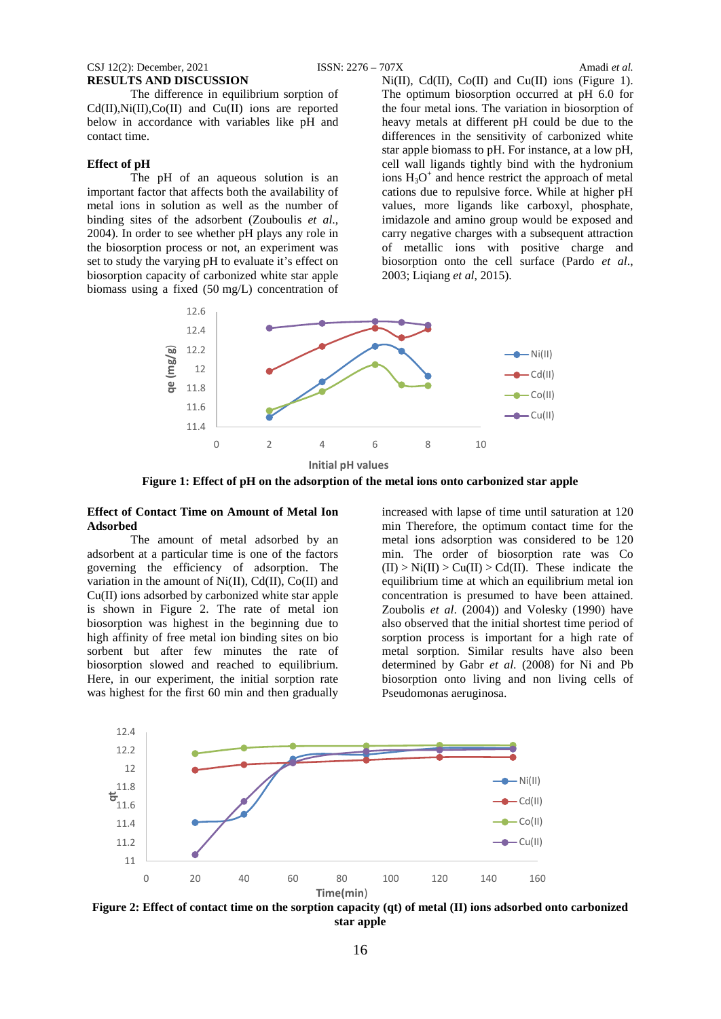#### CSJ 12(2): December, 2021 ISSN: 2276 – 707X Amadi *et al.* **RESULTS AND DISCUSSION**

The difference in equilibrium sorption of  $Cd(II),Ni(II),Co(II)$  and  $Cu(II)$  ions are reported below in accordance with variables like pH and contact time.

#### **Effect of pH**

The pH of an aqueous solution is an important factor that affects both the availability of metal ions in solution as well as the number of binding sites of the adsorbent (Zouboulis *et al*., 2004). In order to see whether pH plays any role in the biosorption process or not, an experiment was set to study the varying pH to evaluate it's effect on biosorption capacity of carbonized white star apple biomass using a fixed (50 mg/L) concentration of  $Ni(II)$ ,  $Cd(II)$ ,  $Co(II)$  and  $Cu(II)$  ions (Figure 1). The optimum biosorption occurred at pH 6.0 for the four metal ions. The variation in biosorption of heavy metals at different pH could be due to the differences in the sensitivity of carbonized white star apple biomass to pH. For instance, at a low pH, cell wall ligands tightly bind with the hydronium ions  $H_3O^+$  and hence restrict the approach of metal cations due to repulsive force. While at higher pH values, more ligands like carboxyl, phosphate, imidazole and amino group would be exposed and carry negative charges with a subsequent attraction of metallic ions with positive charge and biosorption onto the cell surface [\(Pardo](https://www.ncbi.nlm.nih.gov/pmc/articles/PMC3792625/#b0110) *et al*., [2003;](https://www.ncbi.nlm.nih.gov/pmc/articles/PMC3792625/#b0110) Liqiang *et al*, 2015).



**Figure 1: Effect of pH on the adsorption of the metal ions onto carbonized star apple**

#### **Effect of Contact Time on Amount of Metal Ion Adsorbed**

The amount of metal adsorbed by an adsorbent at a particular time is one of the factors governing the efficiency of adsorption. The variation in the amount of  $Ni(II)$ ,  $Cd(II)$ ,  $Co(II)$  and Cu(II) ions adsorbed by carbonized white star apple is shown in Figure 2. The rate of metal ion biosorption was highest in the beginning due to high affinity of free metal ion binding sites on bio sorbent but after few minutes the rate of biosorption slowed and reached to equilibrium. Here, in our experiment, the initial sorption rate was highest for the first 60 min and then gradually

increased with lapse of time until saturation at 120 min Therefore, the optimum contact time for the metal ions adsorption was considered to be 120 min. The order of biosorption rate was Co  $(II) > Ni(II) > Cu(II) > Cd(II)$ . These indicate the equilibrium time at which an equilibrium metal ion concentration is presumed to have been attained. Zoubolis *et al*. (2004)) and [Volesky \(1990\)](https://www.ncbi.nlm.nih.gov/pmc/articles/PMC3792625/#b0170) have also observed that the initial shortest time period of sorption process is important for a high rate of metal sorption. Similar results have also been determined by Gabr *et al*[. \(2008\)](https://www.ncbi.nlm.nih.gov/pmc/articles/PMC3792625/#b0025) for Ni and Pb biosorption onto living and non living cells of Pseudomonas aeruginosa.



**Figure 2: Effect of contact time on the sorption capacity (qt) of metal (II) ions adsorbed onto carbonized star apple**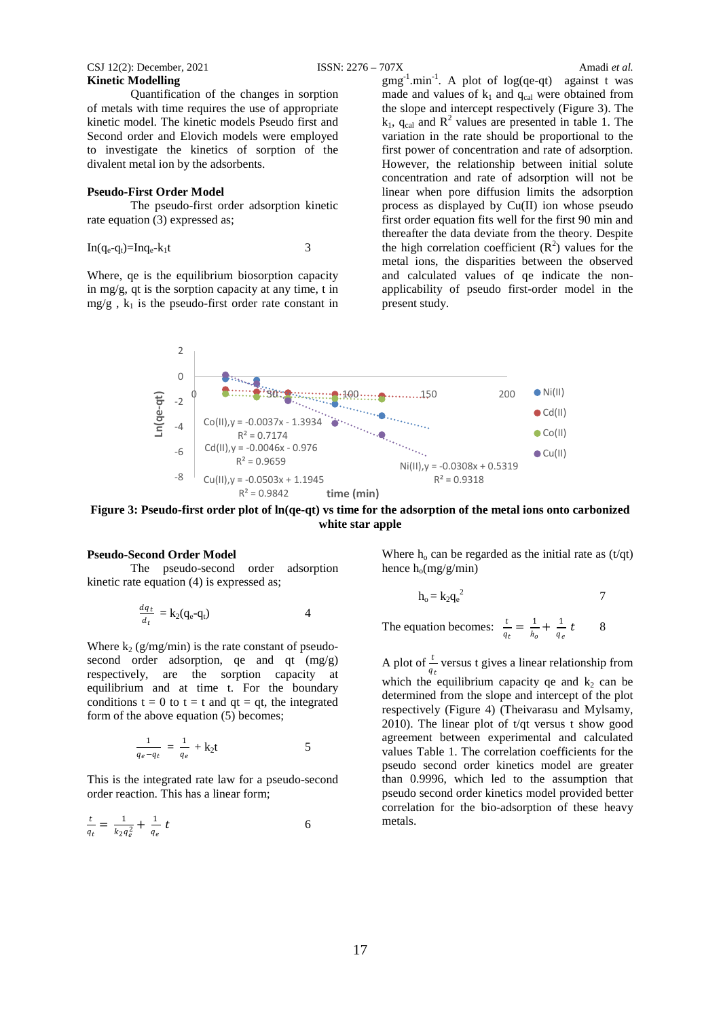CSJ 12(2): December, 2021 ISSN: 2276 – 707X Amadi *et al.* **Kinetic Modelling**

Quantification of the changes in sorption of metals with time requires the use of appropriate kinetic model. The kinetic models Pseudo first and Second order and Elovich models were employed to investigate the kinetics of sorption of the divalent metal ion by the adsorbents.

#### **Pseudo-First Order Model**

The pseudo-first order adsorption kinetic rate equation (3) expressed as:

$$
In(q_e-q_t)=Inq_e-k_1t
$$

Where, qe is the equilibrium biosorption capacity in mg/g, qt is the sorption capacity at any time, t in  $mg/g$ ,  $k_1$  is the pseudo-first order rate constant in

 $gmg^{-1}$ .min<sup>-1</sup>. A plot of log(qe-qt) against t was made and values of  $k_1$  and  $q_{cal}$  were obtained from the slope and intercept respectively (Figure 3). The  $k_1$ , q<sub>cal</sub> and  $R^2$  values are presented in table 1. The variation in the rate should be proportional to the first power of concentration and rate of adsorption. However, the relationship between initial solute concentration and rate of adsorption will not be linear when pore diffusion limits the adsorption process as displayed by Cu(II) ion whose pseudo first order equation fits well for the first 90 min and thereafter the data deviate from the theory. Despite the high correlation coefficient  $(R^2)$  values for the metal ions, the disparities between the observed and calculated values of qe indicate the nonapplicability of pseudo first-order model in the present study.



**Figure 3: Pseudo-first order plot of ln(qe-qt) vs time for the adsorption of the metal ions onto carbonized white star apple**

### **Pseudo-Second Order Model**

The pseudo-second order adsorption kinetic rate equation (4) is expressed as;

$$
\frac{dq_t}{d_t} = \mathbf{k}_2(\mathbf{q}_e - \mathbf{q}_t) \tag{4}
$$

Where  $k_2$  (g/mg/min) is the rate constant of pseudosecond order adsorption, qe and qt (mg/g) respectively, are the sorption capacity at equilibrium and at time t. For the boundary conditions  $t = 0$  to  $t = t$  and  $qt = qt$ , the integrated form of the above equation (5) becomes;

$$
\frac{1}{q_e - q_t} = \frac{1}{q_e} + k_2 t
$$
 5

This is the integrated rate law for a pseudo-second order reaction. This has a linear form;

$$
\frac{t}{q_t} = \frac{1}{k_2 q_e^2} + \frac{1}{q_e} t \tag{6}
$$

Where  $h_0$  can be regarded as the initial rate as (t/qt) hence  $h_0(mg/g/min)$ 

$$
h_o = k_2 q_e^2
$$
 7

The equation becomes:  $\frac{t}{q_t} = \frac{1}{h_o} + \frac{1}{q_e} t$  8

A plot of  $\frac{t}{x}$  versus t gives a linear relationship from which the equilibrium capacity qe and  $k_2$  can be determined from the slope and intercept of the plot respectively (Figure 4) (Theivarasu and Mylsamy, 2010). The linear plot of  $t/dt$  versus t show good agreement between experimental and calculated values Table 1. The correlation coefficients for the pseudo second order kinetics model are greater than 0.9996, which led to the assumption that pseudo second order kinetics model provided better correlation for the bio-adsorption of these heavy metals.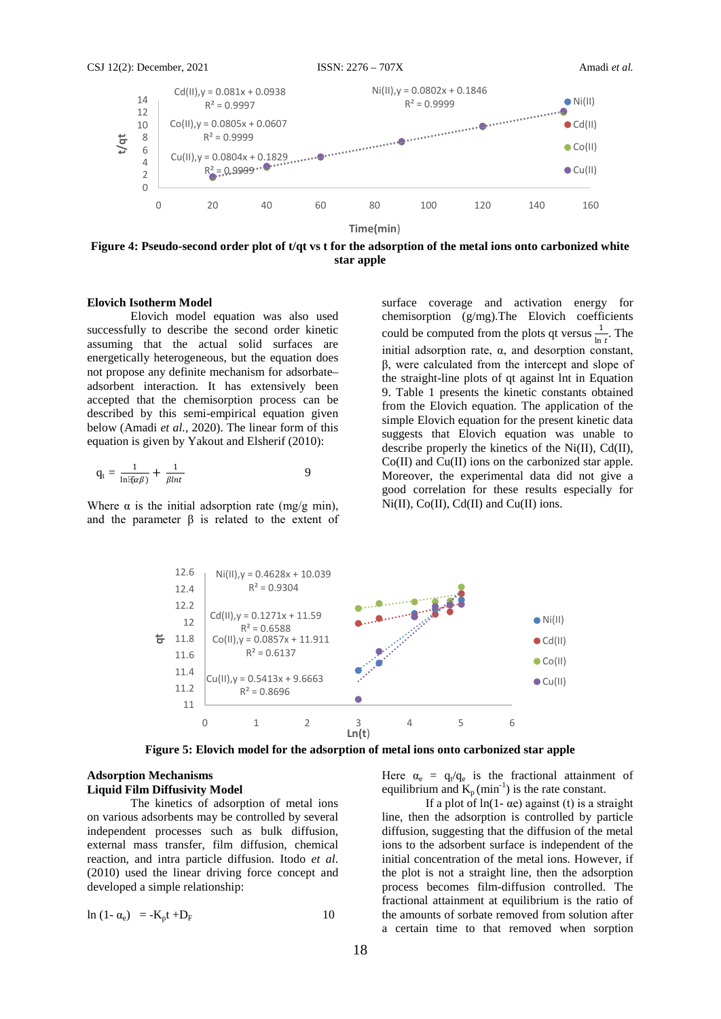

**Time(min**)

**Figure 4: Pseudo-second order plot of t/qt vs t for the adsorption of the metal ions onto carbonized white star apple**

### **Elovich Isotherm Model**

Elovich model equation was also used successfully to describe the second order kinetic assuming that the actual solid surfaces are energetically heterogeneous, but the equation does not propose any definite mechanism for adsorbate– adsorbent interaction. It has extensively been accepted that the chemisorption process can be described by this semi-empirical equation given below (Amadi *et al.,* 2020). The linear form of this equation is given by Yakout and Elsherif (2010):

$$
q_t = \frac{1}{\ln \bar{\ell}(\alpha \beta)} + \frac{1}{\beta \ln t} \tag{9}
$$

Where  $\alpha$  is the initial adsorption rate (mg/g min), and the parameter  $\beta$  is related to the extent of surface coverage and activation energy for chemisorption (g/mg).The Elovich coefficients could be computed from the plots qt versus  $\frac{1}{\ln t}$ . The initial adsorption rate,  $\alpha$ , and desorption constant, β, were calculated from the intercept and slope of the straight-line plots of qt against lnt in Equation 9. Table 1 presents the kinetic constants obtained from the Elovich equation. The application of the simple Elovich equation for the present kinetic data suggests that Elovich equation was unable to describe properly the kinetics of the Ni(II), Cd(II), Co(II) and Cu(II) ions on the carbonized star apple. Moreover, the experimental data did not give a good correlation for these results especially for  $Ni(II)$ ,  $Co(II)$ ,  $Cd(II)$  and  $Cu(II)$  ions.



**Figure 5: Elovich model for the adsorption of metal ions onto carbonized star apple**

### **Adsorption Mechanisms Liquid Film Diffusivity Model**

The kinetics of adsorption of metal ions on various adsorbents may be controlled by several independent processes such as bulk diffusion, external mass transfer, film diffusion, chemical reaction, and intra particle diffusion. Itodo *et al*. (2010) used the linear driving force concept and developed a simple relationship:

$$
\ln(1 - \alpha_e) = -K_p t + D_F \tag{10}
$$

Here  $\alpha_e = q_t/q_e$  is the fractional attainment of equilibrium and  $K_p$  (min<sup>-1</sup>) is the rate constant.

If a plot of  $ln(1 - \alpha e)$  against (t) is a straight line, then the adsorption is controlled by particle diffusion, suggesting that the diffusion of the metal ions to the adsorbent surface is independent of the initial concentration of the metal ions. However, if the plot is not a straight line, then the adsorption process becomes film-diffusion controlled. The fractional attainment at equilibrium is the ratio of the amounts of sorbate removed from solution after a certain time to that removed when sorption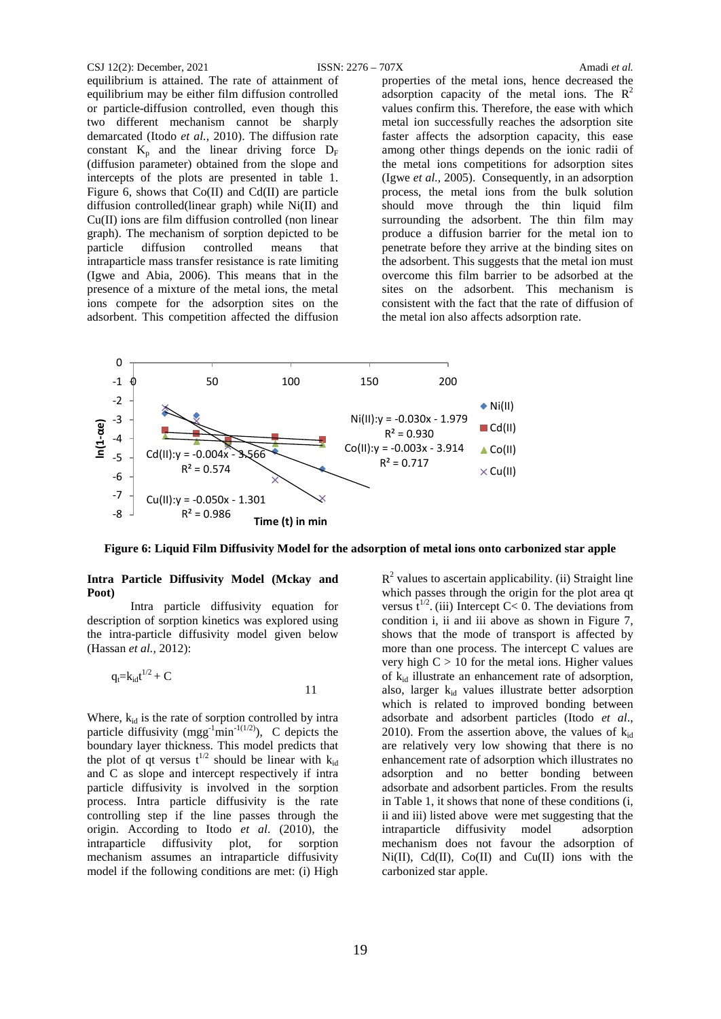#### CSJ 12(2): December, 2021 ISSN: 2276 – 707X Amadi *et al.*

equilibrium is attained. The rate of attainment of equilibrium may be either film diffusion controlled or particle-diffusion controlled, even though this two different mechanism cannot be sharply demarcated (Itodo *et al.,* 2010). The diffusion rate constant  $K_p$  and the linear driving force  $D_F$ (diffusion parameter) obtained from the slope and intercepts of the plots are presented in table 1. Figure 6, shows that Co(II) and Cd(II) are particle diffusion controlled(linear graph) while Ni(II) and Cu(II) ions are film diffusion controlled (non linear graph). The mechanism of sorption depicted to be particle diffusion controlled means that intraparticle mass transfer resistance is rate limiting (Igwe and Abia, 2006). This means that in the presence of a mixture of the metal ions, the metal ions compete for the adsorption sites on the adsorbent. This competition affected the diffusion properties of the metal ions, hence decreased the adsorption capacity of the metal ions. The  $R^2$ values confirm this. Therefore, the ease with which metal ion successfully reaches the adsorption site faster affects the adsorption capacity, this ease among other things depends on the ionic radii of the metal ions competitions for adsorption sites (Igwe *et al.,* 2005). Consequently, in an adsorption process, the metal ions from the bulk solution should move through the thin liquid film surrounding the adsorbent. The thin film may produce a diffusion barrier for the metal ion to penetrate before they arrive at the binding sites on the adsorbent. This suggests that the metal ion must overcome this film barrier to be adsorbed at the sites on the adsorbent. This mechanism is consistent with the fact that the rate of diffusion of the metal ion also affects adsorption rate.



**Figure 6: Liquid Film Diffusivity Model for the adsorption of metal ions onto carbonized star apple**

# **Intra Particle Diffusivity Model (Mckay and Poot)**

Intra particle diffusivity equation for description of sorption kinetics was explored using the intra-particle diffusivity model given below (Hassan *et al.,* 2012):

$$
q_t = k_{id}t^{1/2} + C
$$

Where,  $k_{id}$  is the rate of sorption controlled by intra particle diffusivity (mgg<sup>-1</sup>min<sup>-1(1/2)</sup>), C depicts the boundary layer thickness. This model predicts that the plot of qt versus  $t^{1/2}$  should be linear with  $k_{id}$ and C as slope and intercept respectively if intra particle diffusivity is involved in the sorption process. Intra particle diffusivity is the rate controlling step if the line passes through the origin. According to Itodo *et al*. (2010), the intraparticle diffusivity plot, for sorption mechanism assumes an intraparticle diffusivity model if the following conditions are met: (i) High

 $R<sup>2</sup>$  values to ascertain applicability. (ii) Straight line which passes through the origin for the plot area qt versus  $t^{1/2}$ . (iii) Intercept C< 0. The deviations from condition i, ii and iii above as shown in Figure 7, shows that the mode of transport is affected by more than one process. The intercept C values are very high  $C > 10$  for the metal ions. Higher values of  $k_{id}$  illustrate an enhancement rate of adsorption, also, larger  $k_{id}$  values illustrate better adsorption which is related to improved bonding between adsorbate and adsorbent particles (Itodo *et al*., 2010). From the assertion above, the values of  $k_{id}$ are relatively very low showing that there is no enhancement rate of adsorption which illustrates no adsorption and no better bonding between adsorbate and adsorbent particles. From the results in Table 1, it shows that none of these conditions (i, ii and iii) listed above were met suggesting that the intraparticle diffusivity model adsorption mechanism does not favour the adsorption of Ni(II), Cd(II), Co(II) and Cu(II) ions with the carbonized star apple.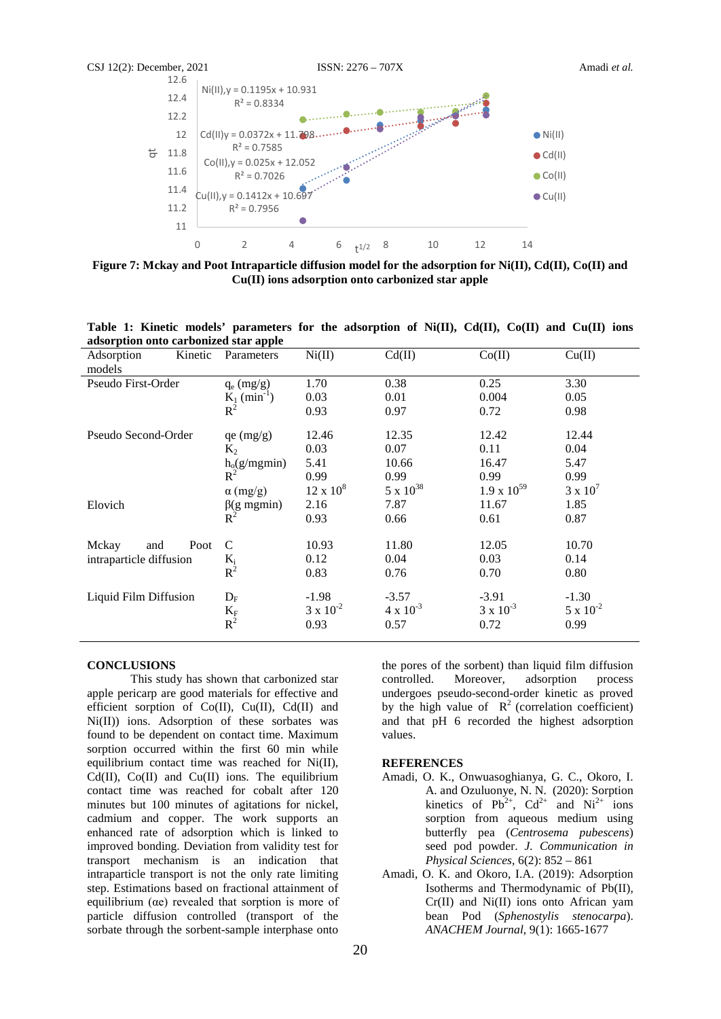

**Figure 7: Mckay and Poot Intraparticle diffusion model for the adsorption for Ni(II), Cd(II), Co(II) and Cu(II) ions adsorption onto carbonized star apple**

| adsorption onto carbonized star apple |                            |                    |                    |                      |                    |
|---------------------------------------|----------------------------|--------------------|--------------------|----------------------|--------------------|
| Kinetic<br>Adsorption                 | Parameters                 | Ni(II)             | Cd(II)             | Co(II)               | Cu(II)             |
| models                                |                            |                    |                    |                      |                    |
| Pseudo First-Order                    | $q_e$ (mg/g)               | 1.70               | 0.38               | 0.25                 | 3.30               |
|                                       | $K_1$ (min <sup>-1</sup> ) | 0.03               | 0.01               | 0.004                | 0.05               |
|                                       | $R^2$                      | 0.93               | 0.97               | 0.72                 | 0.98               |
| Pseudo Second-Order                   | qe (mg/g)                  | 12.46              | 12.35              | 12.42                | 12.44              |
|                                       | $K_2$                      | 0.03               | 0.07               | 0.11                 | 0.04               |
|                                       | $h_o(g/mgmin)$             | 5.41               | 10.66              | 16.47                | 5.47               |
|                                       | $R^2$                      | 0.99               | 0.99               | 0.99                 | 0.99               |
|                                       | $\alpha$ (mg/g)            | $12 \times 10^8$   | $5 \times 10^{38}$ | $1.9 \times 10^{59}$ | $3 \times 10^7$    |
| Elovich                               | $\beta$ (g mgmin)          | 2.16               | 7.87               | 11.67                | 1.85               |
|                                       | $R^2$                      | 0.93               | 0.66               | 0.61                 | 0.87               |
| Mckay<br>Poot<br>and                  | C                          | 10.93              | 11.80              | 12.05                | 10.70              |
| intraparticle diffusion               |                            | 0.12               | 0.04               | 0.03                 | 0.14               |
|                                       | $\frac{K_i}{R^2}$          | 0.83               | 0.76               | 0.70                 | 0.80               |
| Liquid Film Diffusion                 | $D_F$                      | $-1.98$            | $-3.57$            | $-3.91$              | $-1.30$            |
|                                       | $\frac{K_F}{R^2}$          | $3 \times 10^{-2}$ | $4 \times 10^{-3}$ | $3 \times 10^{-3}$   | $5 \times 10^{-2}$ |
|                                       |                            | 0.93               | 0.57               | 0.72                 | 0.99               |

**Table 1: Kinetic models' parameters for the adsorption of Ni(II), Cd(II), Co(II) and Cu(II) ions** 

#### **CONCLUSIONS**

This study has shown that carbonized star apple pericarp are good materials for effective and efficient sorption of Co(II), Cu(II), Cd(II) and Ni(II)) ions. Adsorption of these sorbates was found to be dependent on contact time. Maximum sorption occurred within the first 60 min while equilibrium contact time was reached for Ni(II),  $Cd(II)$ ,  $Co(II)$  and  $Cu(II)$  ions. The equilibrium contact time was reached for cobalt after 120 minutes but 100 minutes of agitations for nickel, cadmium and copper. The work supports an enhanced rate of adsorption which is linked to improved bonding. Deviation from validity test for transport mechanism is an indication that intraparticle transport is not the only rate limiting step. Estimations based on fractional attainment of equilibrium (αe) revealed that sorption is more of particle diffusion controlled (transport of the sorbate through the sorbent-sample interphase onto

the pores of the sorbent) than liquid film diffusion controlled. Moreover, adsorption process undergoes pseudo-second-order kinetic as proved by the high value of  $R^2$  (correlation coefficient) and that pH 6 recorded the highest adsorption values.

# **REFERENCES**

- Amadi, O. K., Onwuasoghianya, G. C., Okoro, I. A. and Ozuluonye, N. N. (2020): Sorption kinetics of  $Pb^{2+}$ ,  $Cd^{2+}$  and  $Ni^{2+}$  ions sorption from aqueous medium using butterfly pea (*Centrosema pubescens*) seed pod powder. *J. Communication in Physical Sciences*, 6(2): 852 – 861
- Amadi, O. K. and Okoro, I.A. (2019): Adsorption Isotherms and Thermodynamic of Pb(II), Cr(II) and Ni(II) ions onto African yam bean Pod (*Sphenostylis stenocarpa*). *ANACHEM Journal*, 9(1): 1665-1677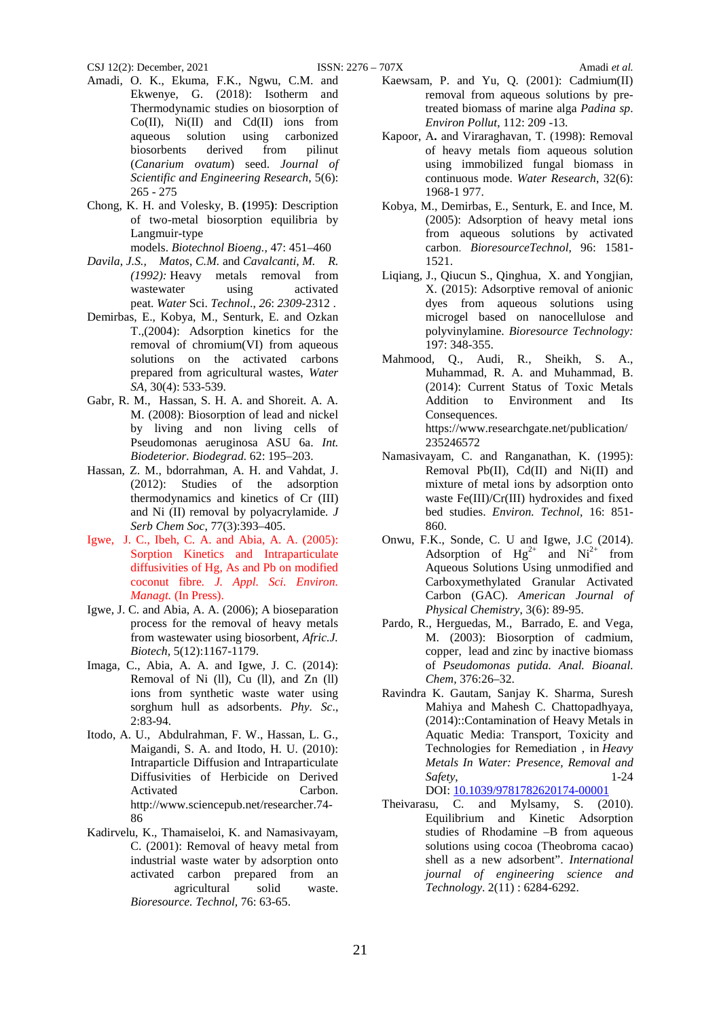- Amadi, O. K., Ekuma, F.K., Ngwu, C.M. and Ekwenye, G. (2018): Isotherm and Thermodynamic studies on biosorption of  $Co(II)$ ,  $Ni(II)$  and  $Cd(II)$  ions from aqueous solution using carbonized biosorbents derived from pilinut (*Canarium ovatum*) seed. *Journal of Scientific and Engineering Research*, 5(6): 265 - 275
- Chong, K. H. and Volesky, B. **(**1995**)**: Description of two-metal biosorption equilibria by Langmuir-type

models. *Biotechnol Bioeng.,* 47: 451–460

- *Davila*, *J.S., Matos*, *C.M.* and *Cavalcanti*, *M. R. (1992):* Heavy metals removal from wastewater using activated peat. *Water* Sci. *Technol*., *26*: *2309*-2312 .
- Demirbas, E., Kobya, M., Senturk, E. and Ozkan T.,(2004): Adsorption kinetics for the removal of chromium(VI) from aqueous solutions on the activated carbons prepared from agricultural wastes, *Water SA,* 30(4): 533-539.
- Gabr, R. M., Hassan, S. H. A. and Shoreit. A. A. M. (2008): Biosorption of lead and nickel by living and non living cells of Pseudomonas aeruginosa ASU 6a. *Int. Biodeterior. Biodegrad.* 62: 195–203.
- Hassan, Z. M., bdorrahman, A. H. and Vahdat, J. (2012): Studies of the adsorption thermodynamics and kinetics of Cr (III) and Ni (II) removal by polyacrylamide*. J Serb Chem Soc,* 77(3):393–405.
- Igwe, J. C., Ibeh, C. A. and Abia, A. A. (2005): Sorption Kinetics and Intraparticulate diffusivities of Hg, As and Pb on modified coconut fibre*. J. Appl. Sci. Environ. Managt.* (In Press).
- Igwe, J. C. and Abia, A. A. (2006); A bioseparation process for the removal of heavy metals from wastewater using biosorbent, *Afric.J. Biotech,* 5(12):1167-1179.
- Imaga, C., Abia, A. A. and Igwe, J. C. (2014): Removal of Ni (ll), Cu (ll), and Zn (ll) ions from synthetic waste water using sorghum hull as adsorbents. *Phy. Sc*., 2:83-94.
- Itodo, A. U., Abdulrahman, F. W., Hassan, L. G., Maigandi, S. A. and Itodo, H. U. (2010): Intraparticle Diffusion and Intraparticulate Diffusivities of Herbicide on Derived Activated Carbon. http://www.sciencepub.net/researcher.74- 86
- Kadirvelu, K., Thamaiseloi, K. and Namasivayam, C. (2001): Removal of heavy metal from industrial waste water by adsorption onto activated carbon prepared from an agricultural solid waste. *Bioresource. Technol,* 76: 63-65.
- Kaewsam, P. and Yu, Q. (2001): Cadmium(II) removal from aqueous solutions by pretreated biomass of marine alga *Padina sp*. *Environ Pollut*, 112: 209 -13.
- Kapoor, A**.** and Viraraghavan, T. (1998): Removal of heavy metals fiom aqueous solution using immobilized fungal biomass in continuous mode. *Water Research*, 32(6): 1968-1 977.
- Kobya, M., Demirbas, E., Senturk, E. and Ince, M. (2005): Adsorption of heavy metal ions from aqueous solutions by activated carbon. *BioresourceTechnol,* 96: 1581- 1521.
- Liqiang, J., Qiucun S., Qinghua, X. and Yongjian, X. (2015): Adsorptive removal of anionic dyes from aqueous solutions using microgel based on nanocellulose and polyvinylamine. *Bioresource Technology:* 197: 348-355.
- Mahmood, Q., Audi, R., Sheikh, S. A., Muhammad, R. A. and Muhammad, B. (2014): Current Status of Toxic Metals Addition to Environment and Its Consequences. https://www.researchgate.net/publication/ 235246572
- Namasivayam, C. and Ranganathan, K. (1995): Removal Pb(II), Cd(II) and Ni(II) and mixture of metal ions by adsorption onto waste Fe(III)/Cr(III) hydroxides and fixed bed studies. *Environ. Technol,* 16: 851- 860.
- Onwu, F.K., Sonde, C. U and Igwe, J.C (2014). Adsorption of  $Hg^{2+}$  and  $Ni^{2+}$  from Aqueous Solutions Using unmodified and Carboxymethylated Granular Activated Carbon (GAC). *American Journal of Physical Chemistry*, 3(6): 89-95.
- Pardo, R., Herguedas, M., Barrado, E. and Vega, M. (2003): Biosorption of cadmium, copper, lead and zinc by inactive biomass of *Pseudomonas putida. Anal. Bioanal. Chem,* 376:26–32.
- Ravindra K. Gautam, Sanjay K. Sharma, Suresh Mahiya and Mahesh C. Chattopadhyaya, (2014)::Contamination of Heavy Metals in Aquatic Media: Transport, Toxicity and Technologies for Remediation , in *Heavy Metals In Water: Presence, Removal and Safety*, 1-24 DOI: [10.1039/9781782620174-00001](https://doi.org/10.1039/9781782620174-00001)
- Theivarasu, C. and Mylsamy, S. (2010). Equilibrium and Kinetic Adsorption studies of Rhodamine –B from aqueous solutions using cocoa (Theobroma cacao) shell as a new adsorbent". *International journal of engineering science and Technology*. 2(11) : 6284-6292.